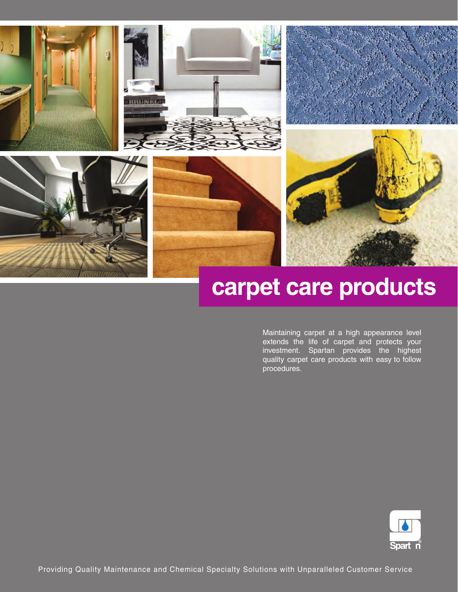











# **carpet care products**

 $\overline{\mathsf{to}}$ Maintaining carpet at a high appearance level extends the life of carpet and protects your investment. Spartan provides the highest quality carpet care products with easy to follow procedures.

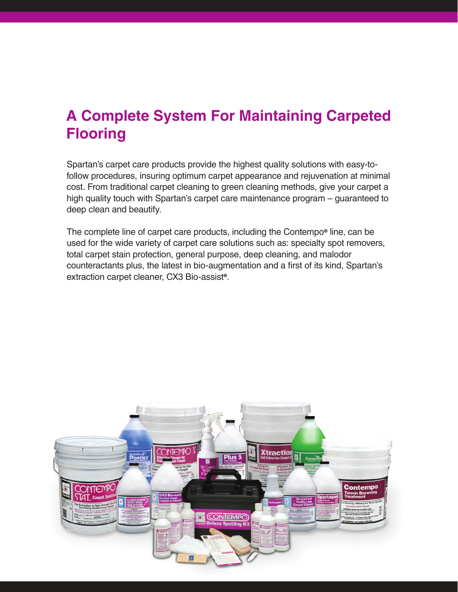# **A Complete System For Maintaining Carpeted Flooring**

Spartan's carpet care products provide the highest quality solutions with easy-tofollow procedures, insuring optimum carpet appearance and rejuvenation at minimal cost. From traditional carpet cleaning to green cleaning methods, give your carpet a high quality touch with Spartan's carpet care maintenance program – guaranteed to deep clean and beautify.

The complete line of carpet care products, including the Contempo**®** line, can be used for the wide variety of carpet care solutions such as: specialty spot removers, total carpet stain protection, general purpose, deep cleaning, and malodor counteractants plus, the latest in bio-augmentation and a first of its kind, Spartan's extraction carpet cleaner, CX3 Bio-assist**®**.

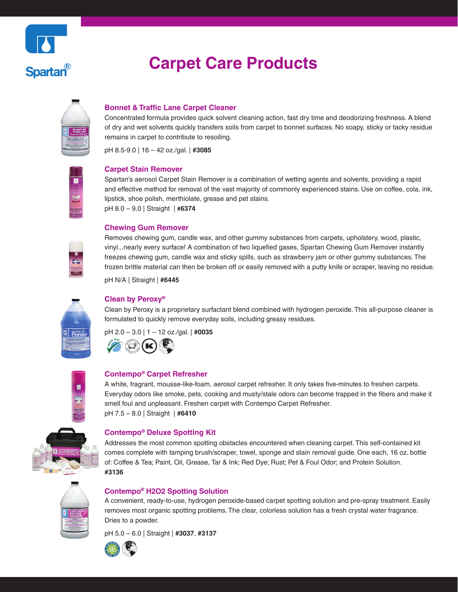

| Bonnet and<br>Traffic Lan<br>Charget Clean |
|--------------------------------------------|
|                                            |

**Spartan**®

# **Bonnet & Traffic Lane Carpet Cleaner**

Concentrated formula provides quick solvent cleaning action, fast dry time and deodorizing freshness. A blend of dry and wet solvents quickly transfers soils from carpet to bonnet surfaces. No soapy, sticky or tacky residue remains in carpet to contribute to resoiling.

pH 8.5-9.0 | 16 – 42 oz./gal. | **#3085** 



#### **Carpet Stain Remover**

Spartan's aerosol Carpet Stain Remover is a combination of wetting agents and solvents, providing a rapid and effective method for removal of the vast majority of commonly experienced stains. Use on coffee, cola, ink, lipstick, shoe polish, merthiolate, grease and pet stains. pH 8.0 – 9.0 | Straight | **#6374** 

### **Chewing Gum Remover**

Removes chewing gum, candle wax, and other gummy substances from carpets, upholstery, wood, plastic, vinyl...nearly every surface! A combination of two liquefied gases, Spartan Chewing Gum Remover instantly freezes chewing gum, candle wax and sticky spills, such as strawberry jam or other gummy substances. The frozen brittle material can then be broken off or easily removed with a putty knife or scraper, leaving no residue.

pH N/A | Straight | **#6445** 



### **Clean by Peroxy®**

Clean by Peroxy is a proprietary surfactant blend combined with hydrogen peroxide. This all-purpose cleaner is formulated to quickly remove everyday soils, including greasy residues.

pH 2.0 – 3.0 | 1 – 12 oz./gal. | **#0035** 





## **Contempo® Carpet Refresher**

A white, fragrant, mousse-like-foam, aerosol carpet refresher. It only takes five-minutes to freshen carpets. Everyday odors like smoke, pets, cooking and musty/stale odors can become trapped in the fibers and make it smell foul and unpleasant. Freshen carpet with Contempo Carpet Refresher. pH 7.5 – 8.0 | Straight | **#6410** 



#### **Contempo® Deluxe Spotting Kit**

Addresses the most common spotting obstacles encountered when cleaning carpet. This self-contained kit comes complete with tamping brush/scraper, towel, sponge and stain removal guide. One each, 16 oz. bottle of: Coffee & Tea; Paint, Oil, Grease, Tar & Ink; Red Dye; Rust; Pet & Foul Odor; and Protein Solution. **#3136** 

## **Contempo® H2O2 Spotting Solution**

A convenient, ready-to-use, hydrogen peroxide-based carpet spotting solution and pre-spray treatment. Easily removes most organic spotting problems. The clear, colorless solution has a fresh crystal water fragrance. Dries to a powder.

pH 5.0 – 6.0 | Straight | **#3037**, **#3137** 



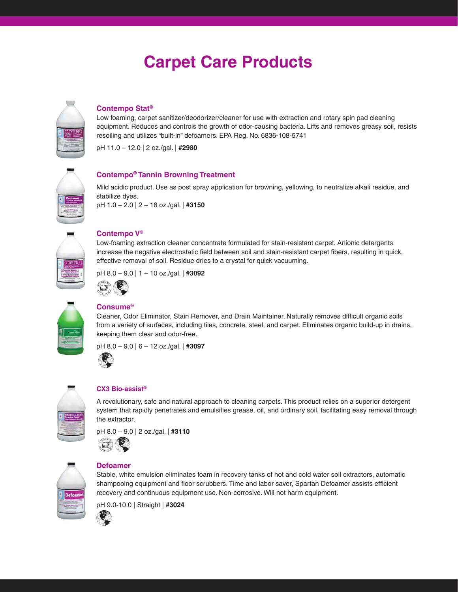# **Carpet Care Products**



# **Contempo Stat®**

Low foaming, carpet sanitizer/deodorizer/cleaner for use with extraction and rotary spin pad cleaning equipment. Reduces and controls the growth of odor-causing bacteria. Lifts and removes greasy soil, resists resoiling and utilizes "built-in" defoamers. EPA Reg. No. 6836-108-5741

pH 11.0 – 12.0 | 2 oz./gal. | **#2980** 



Mild acidic product. Use as post spray application for browning, yellowing, to neutralize alkali residue, and stabilize dyes.

pH 1.0 – 2.0 | 2 – 16 oz./gal. | **#3150** 

**Contempo® Tannin Browning Treatment** 



# **Contempo V®**

 effective removal of soil. Residue dries to a crystal for quick vacuuming. Low-foaming extraction cleaner concentrate formulated for stain-resistant carpet. Anionic detergents increase the negative electrostatic field between soil and stain-resistant carpet fibers, resulting in quick,

pH 8.0 – 9.0 | 1 – 10 oz./gal. | **#3092** 



# **Consume®**

Cleaner, Odor Eliminator, Stain Remover, and Drain Maintainer. Naturally removes difficult organic soils from a variety of surfaces, including tiles, concrete, steel, and carpet. Eliminates organic build-up in drains, keeping them clear and odor-free.

pH 8.0 – 9.0 | 6 – 12 oz./gal. | **#3097** 

| CX3 Bio           |  |
|-------------------|--|
| يبيت<br>straction |  |
|                   |  |
|                   |  |

# **CX3 Bio-assist®**

A revolutionary, safe and natural approach to cleaning carpets. This product relies on a superior detergent system that rapidly penetrates and emulsifies grease, oil, and ordinary soil, facilitating easy removal through the extractor.

Stable, white emulsion eliminates foam in recovery tanks of hot and cold water soil extractors, automatic shampooing equipment and floor scrubbers. Time and labor saver, Spartan Defoamer assists efficient

recovery and continuous equipment use. Non-corrosive. Will not harm equipment.







pH 9.0-10.0 | Straight | **#3024** 

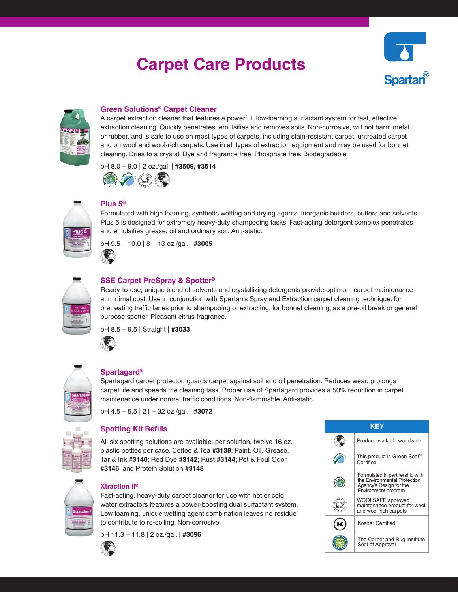# **Carpet Care Products**





# **Green Solutions® Carpet Cleaner**

A carpet extraction cleaner that features a powerful, low-foaming surfactant system for fast, effective extraction cleaning. Quickly penetrates, emulsifies and removes soils. Non-corrosive, will not harm metal or rubber, and is safe to use on most types of carpets, including stain-resistant carpet, untreated carpet and on wool and wool-rich carpets. Use in all types of extraction equipment and may be used for bonnet cleaning. Dries to a crystal. Dye and fragrance free. Phosphate free. Biodegradable.

pH 8.0 – 9.0 | 2 oz./gal. | **#3509, #3514** 





# **Plus 5®**

and emulsifies grease, oil and ordinary soil. Anti-static.<br>pH 9.5 – 10.0 | 8 – 13 oz./gal. | **#3005** Formulated with high foaming, synthetic wetting and drying agents, inorganic builders, buffers and solvents. Plus 5 is designed for extremely heavy-duty shampooing tasks. Fast-acting detergent complex penetrates



# **SSE Carpet PreSpray & Spotter®**

Ready-to-use, unique blend of solvents and crystallizing detergents provide optimum carpet maintenance at minimal cost. Use in conjunction with Spartan's Spray and Extraction carpet cleaning technique: for pretreating traffic lanes prior to shampooing or extracting; for bonnet cleaning; as a pre-oil break or general purpose spotter. Pleasant citrus fragrance.

pH 8.5 – 9.5 | Straight | **#3033** 



# **Spartagard®**

Spartagard carpet protector, guards carpet against soil and oil penetration. Reduces wear, prolongs carpet life and speeds the cleaning task. Proper use of Spartagard provides a 50% reduction in carpet maintenance under normal traffic conditions. Non-flammable. Anti-static.

pH 4.5 – 5.5 | 21 – 32 oz./gal. | **#3072** 

## **Spotting Kit Refills**

All six spotting solutions are available, per solution, twelve 16 oz. plastic bottles per case. Coffee & Tea **#3138**; Paint, Oil, Grease, Tar & Ink **#3140**; Red Dye **#3142**; Rust **#3144**; Pet & Foul Odor **#3146**; and Protein Solution **#3148** 



# **Xtraction II®**

 water extractors features a power-boosting dual surfactant system. Fast-acting, heavy-duty carpet cleaner for use with hot or cold Low foaming, unique wetting agent combination leaves no residue to contribute to re-soiling. Non-corrosive.

pH 11.3 – 11.8 | 2 oz./gal. | **#3096** 



| KF' |                                                                                                                  |  |  |  |
|-----|------------------------------------------------------------------------------------------------------------------|--|--|--|
|     | Product available worldwide                                                                                      |  |  |  |
|     | This product is Green Seal™<br>Certified                                                                         |  |  |  |
|     | Formulated in partnership with<br>the Environmental Protection<br>Agency's Design for the<br>Environment program |  |  |  |
|     | WOOLSAFE approved<br>maintenance product for wool<br>and wool-rich carpets                                       |  |  |  |
|     | Kosher Certified                                                                                                 |  |  |  |
|     | The Carpet and Rug Institute<br>Seal of Approval                                                                 |  |  |  |